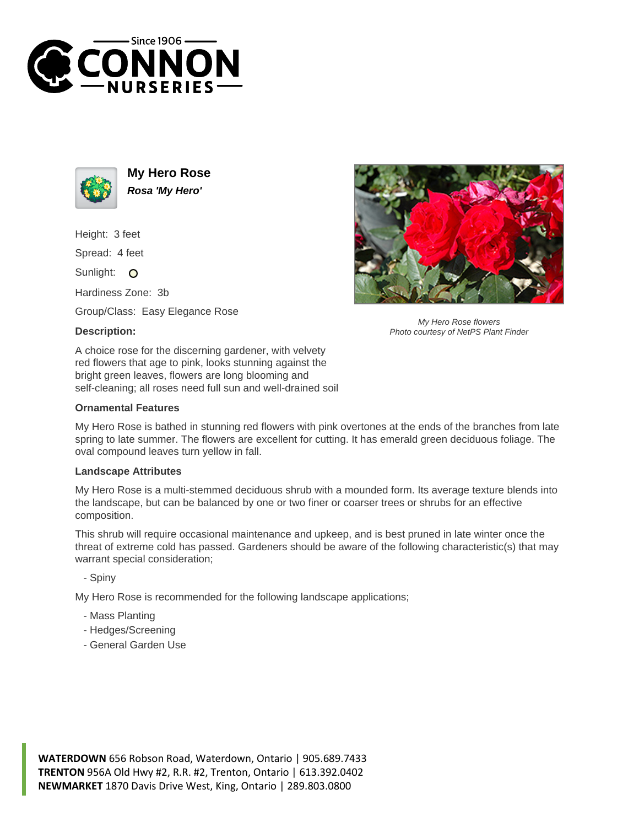



**My Hero Rose Rosa 'My Hero'**

Height: 3 feet

Spread: 4 feet

Sunlight: O

Hardiness Zone: 3b

Group/Class: Easy Elegance Rose

## **Description:**



## **Ornamental Features**



My Hero Rose flowers Photo courtesy of NetPS Plant Finder

My Hero Rose is bathed in stunning red flowers with pink overtones at the ends of the branches from late spring to late summer. The flowers are excellent for cutting. It has emerald green deciduous foliage. The oval compound leaves turn yellow in fall.

## **Landscape Attributes**

My Hero Rose is a multi-stemmed deciduous shrub with a mounded form. Its average texture blends into the landscape, but can be balanced by one or two finer or coarser trees or shrubs for an effective composition.

This shrub will require occasional maintenance and upkeep, and is best pruned in late winter once the threat of extreme cold has passed. Gardeners should be aware of the following characteristic(s) that may warrant special consideration;

- Spiny

My Hero Rose is recommended for the following landscape applications;

- Mass Planting
- Hedges/Screening
- General Garden Use

**WATERDOWN** 656 Robson Road, Waterdown, Ontario | 905.689.7433 **TRENTON** 956A Old Hwy #2, R.R. #2, Trenton, Ontario | 613.392.0402 **NEWMARKET** 1870 Davis Drive West, King, Ontario | 289.803.0800